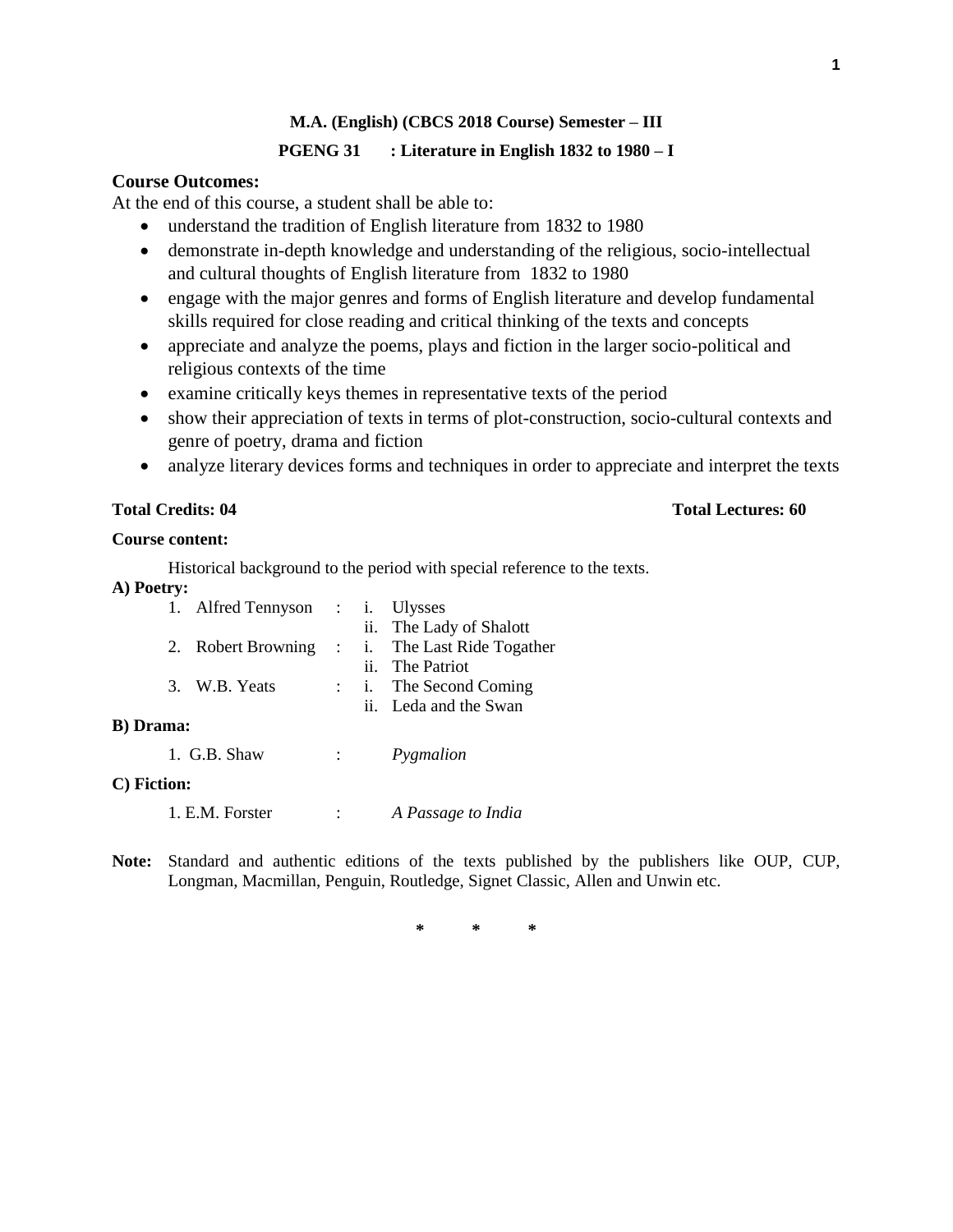# **M.A. (English) (CBCS 2018 Course) Semester – III PGENG 31 : Literature in English 1832 to 1980 – I**

# **Course Outcomes:**

At the end of this course, a student shall be able to:

- understand the tradition of English literature from 1832 to 1980
- demonstrate in-depth knowledge and understanding of the religious, socio-intellectual and cultural thoughts of English literature from 1832 to 1980
- engage with the major genres and forms of English literature and develop fundamental skills required for close reading and critical thinking of the texts and concepts
- appreciate and analyze the poems, plays and fiction in the larger socio-political and religious contexts of the time
- examine critically keys themes in representative texts of the period
- show their appreciation of texts in terms of plot-construction, socio-cultural contexts and genre of poetry, drama and fiction
- analyze literary devices forms and techniques in order to appreciate and interpret the texts

## **Total Credits: 04 Total Lectures: 60**

## **Course content:**

Historical background to the period with special reference to the texts.

**A) Poetry:**

|                   |  | 1. Alfred Tennyson : i. Ulysses |  |  |                                                |
|-------------------|--|---------------------------------|--|--|------------------------------------------------|
|                   |  |                                 |  |  | ii. The Lady of Shalott                        |
|                   |  |                                 |  |  | 2. Robert Browning : i. The Last Ride Togather |
|                   |  |                                 |  |  | ii. The Patriot                                |
|                   |  | 3. W.B. Yeats                   |  |  | : i. The Second Coming                         |
|                   |  |                                 |  |  | ii. Leda and the Swan                          |
| <b>B</b> ) Drama: |  |                                 |  |  |                                                |
|                   |  |                                 |  |  |                                                |

## 1. G.B. Shaw : *Pygmalion*

## **C) Fiction:**

1. E.M. Forster : *A Passage to India*

**Note:** Standard and authentic editions of the texts published by the publishers like OUP, CUP, Longman, Macmillan, Penguin, Routledge, Signet Classic, Allen and Unwin etc.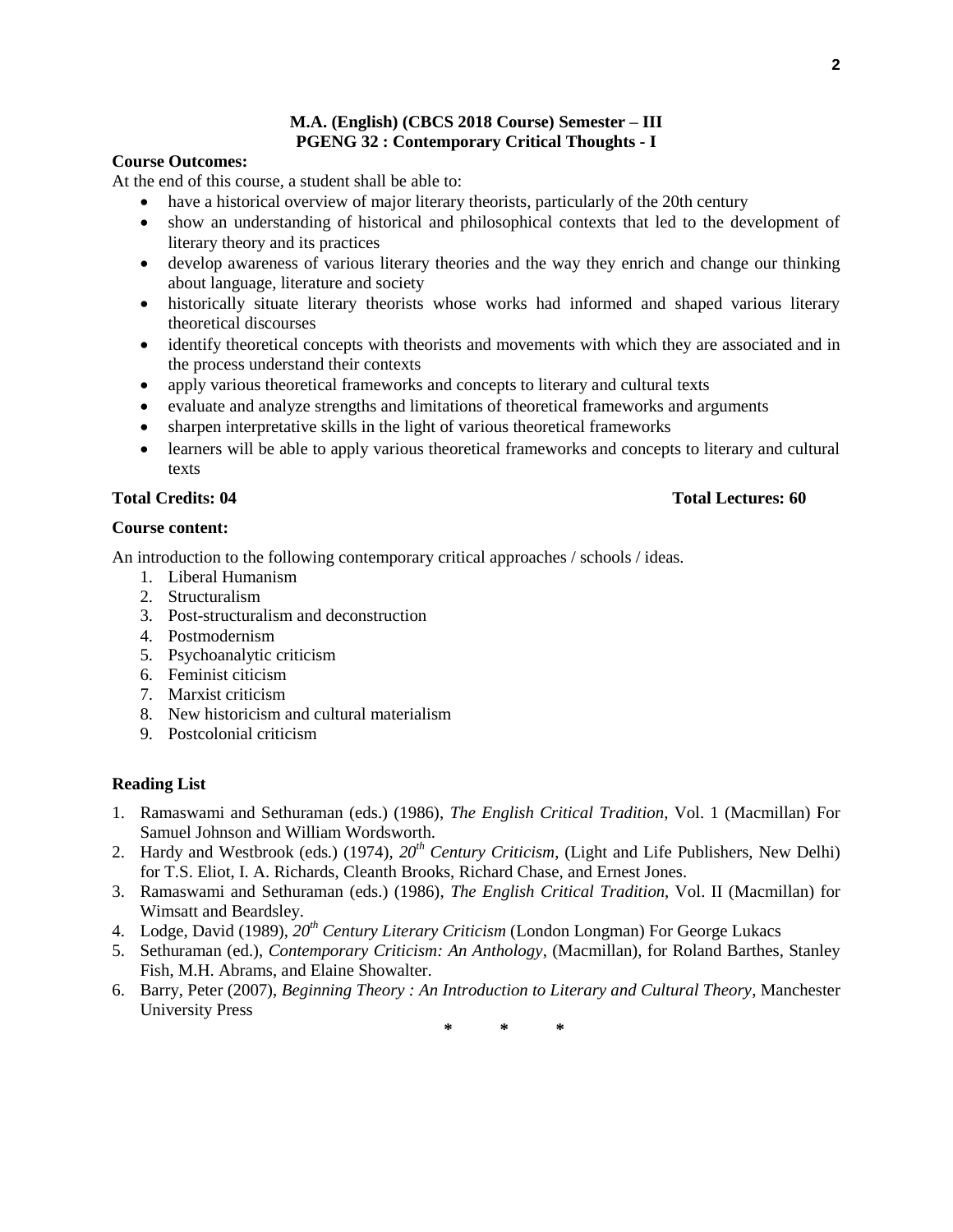## **M.A. (English) (CBCS 2018 Course) Semester – III PGENG 32 : Contemporary Critical Thoughts - I**

## **Course Outcomes:**

At the end of this course, a student shall be able to:

- have a historical overview of major literary theorists, particularly of the 20th century
- show an understanding of historical and philosophical contexts that led to the development of literary theory and its practices
- develop awareness of various literary theories and the way they enrich and change our thinking about language, literature and society
- historically situate literary theorists whose works had informed and shaped various literary theoretical discourses
- identify theoretical concepts with theorists and movements with which they are associated and in the process understand their contexts
- apply various theoretical frameworks and concepts to literary and cultural texts
- evaluate and analyze strengths and limitations of theoretical frameworks and arguments
- sharpen interpretative skills in the light of various theoretical frameworks
- learners will be able to apply various theoretical frameworks and concepts to literary and cultural texts

## **Total Credits: 04 Total Lectures: 60**

## **Course content:**

An introduction to the following contemporary critical approaches / schools / ideas.

- 1. Liberal Humanism
- 2. Structuralism
- 3. Post-structuralism and deconstruction
- 4. Postmodernism
- 5. Psychoanalytic criticism
- 6. Feminist citicism
- 7. Marxist criticism
- 8. New historicism and cultural materialism
- 9. Postcolonial criticism

## **Reading List**

- 1. Ramaswami and Sethuraman (eds.) (1986), *The English Critical Tradition*, Vol. 1 (Macmillan) For Samuel Johnson and William Wordsworth.
- 2. Hardy and Westbrook (eds.) (1974), *20th Century Criticism*, (Light and Life Publishers, New Delhi) for T.S. Eliot, I. A. Richards, Cleanth Brooks, Richard Chase, and Ernest Jones.
- 3. Ramaswami and Sethuraman (eds.) (1986), *The English Critical Tradition*, Vol. II (Macmillan) for Wimsatt and Beardsley.
- 4. Lodge, David (1989), *20th Century Literary Criticism* (London Longman) For George Lukacs
- 5. Sethuraman (ed.), *Contemporary Criticism: An Anthology*, (Macmillan), for Roland Barthes, Stanley Fish, M.H. Abrams, and Elaine Showalter.
- 6. Barry, Peter (2007), *Beginning Theory : An Introduction to Literary and Cultural Theory*, Manchester University Press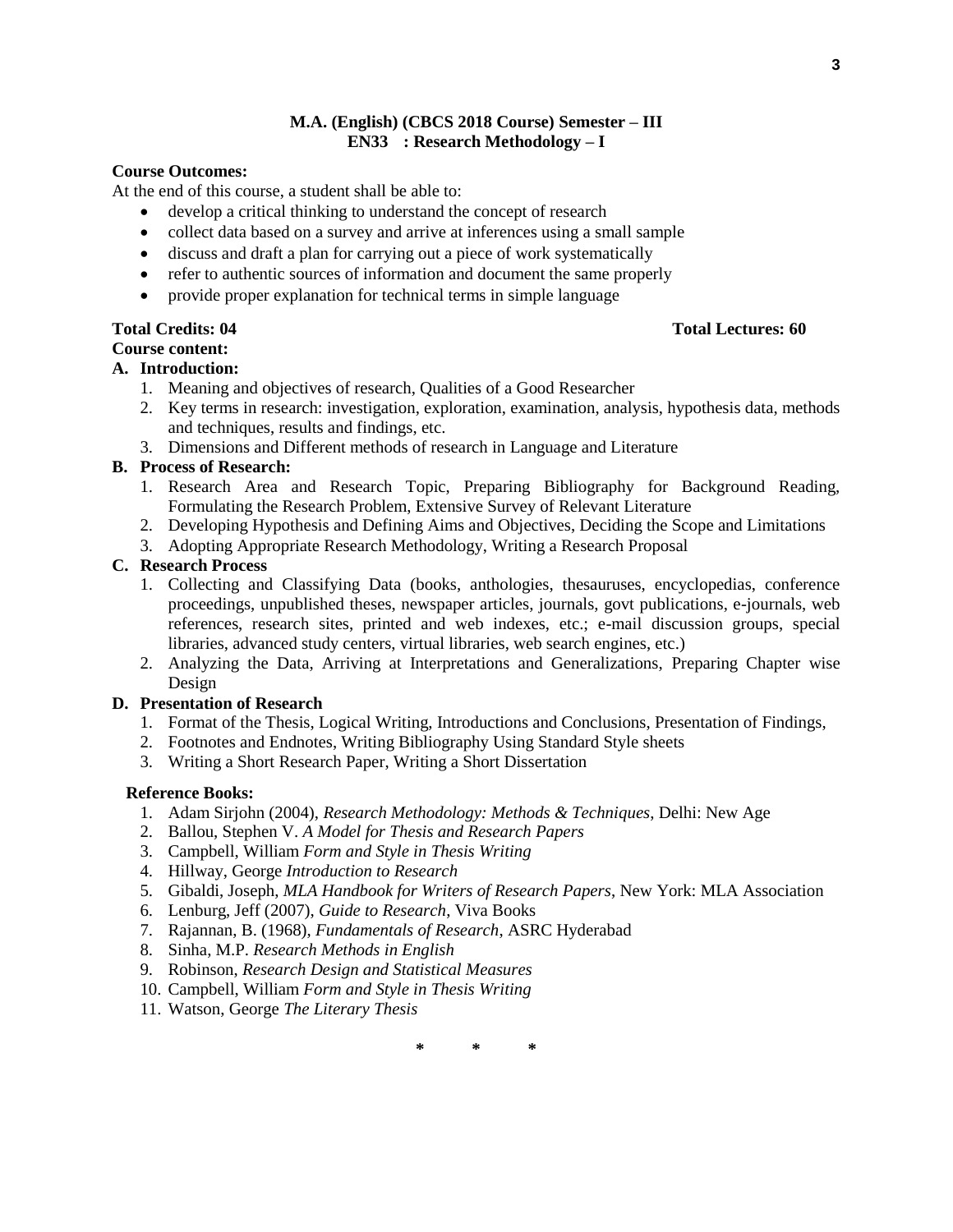## **M.A. (English) (CBCS 2018 Course) Semester – III EN33 : Research Methodology – I**

## **Course Outcomes:**

At the end of this course, a student shall be able to:

- develop a critical thinking to understand the concept of research
- collect data based on a survey and arrive at inferences using a small sample
- discuss and draft a plan for carrying out a piece of work systematically
- refer to authentic sources of information and document the same properly
- provide proper explanation for technical terms in simple language

### **Total Credits: 04 Total Lectures: 60 Course content:**

## **A. Introduction:**

- 1. Meaning and objectives of research, Qualities of a Good Researcher
- 2. Key terms in research: investigation, exploration, examination, analysis, hypothesis data, methods and techniques, results and findings, etc.
- 3. Dimensions and Different methods of research in Language and Literature

## **B. Process of Research:**

- 1. Research Area and Research Topic, Preparing Bibliography for Background Reading, Formulating the Research Problem, Extensive Survey of Relevant Literature
- 2. Developing Hypothesis and Defining Aims and Objectives, Deciding the Scope and Limitations
- 3. Adopting Appropriate Research Methodology, Writing a Research Proposal

## **C. Research Process**

- 1. Collecting and Classifying Data (books, anthologies, thesauruses, encyclopedias, conference proceedings, unpublished theses, newspaper articles, journals, govt publications, e-journals, web references, research sites, printed and web indexes, etc.; e-mail discussion groups, special libraries, advanced study centers, virtual libraries, web search engines, etc.)
- 2. Analyzing the Data, Arriving at Interpretations and Generalizations, Preparing Chapter wise Design

## **D. Presentation of Research**

- 1. Format of the Thesis, Logical Writing, Introductions and Conclusions, Presentation of Findings,
- 2. Footnotes and Endnotes, Writing Bibliography Using Standard Style sheets
- 3. Writing a Short Research Paper, Writing a Short Dissertation

### **Reference Books:**

- 1. Adam Sirjohn (2004), *Research Methodology: Methods & Techniques*, Delhi: New Age
- 2. Ballou, Stephen V. *A Model for Thesis and Research Papers*
- 3. Campbell, William *Form and Style in Thesis Writing*
- 4. Hillway, George *Introduction to Research*
- 5. Gibaldi, Joseph, *MLA Handbook for Writers of Research Papers*, New York: MLA Association
- 6. Lenburg, Jeff (2007), *Guide to Research*, Viva Books
- 7. Rajannan, B. (1968), *Fundamentals of Research*, ASRC Hyderabad
- 8. Sinha, M.P. *Research Methods in English*
- 9. Robinson, *Research Design and Statistical Measures*
- 10. Campbell, William *Form and Style in Thesis Writing*
- 11. Watson, George *The Literary Thesis*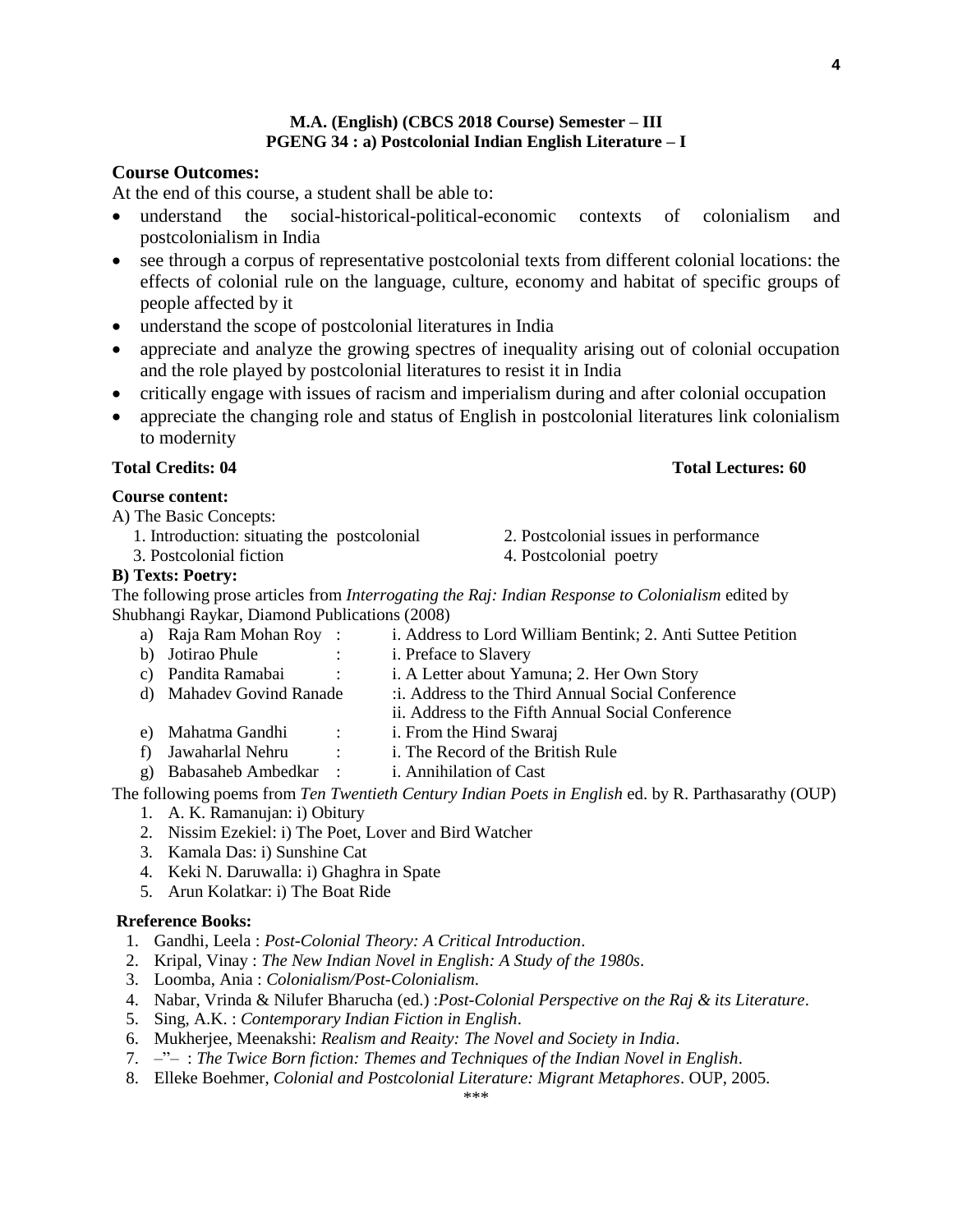## **M.A. (English) (CBCS 2018 Course) Semester – III PGENG 34 : a) Postcolonial Indian English Literature – I**

## **Course Outcomes:**

At the end of this course, a student shall be able to:

- understand the social-historical-political-economic contexts of colonialism and postcolonialism in India
- see through a corpus of representative postcolonial texts from different colonial locations: the effects of colonial rule on the language, culture, economy and habitat of specific groups of people affected by it
- understand the scope of postcolonial literatures in India
- appreciate and analyze the growing spectres of inequality arising out of colonial occupation and the role played by postcolonial literatures to resist it in India
- critically engage with issues of racism and imperialism during and after colonial occupation
- appreciate the changing role and status of English in postcolonial literatures link colonialism to modernity

## **Total Credits: 04 Total Lectures: 60**

### **Course content:**

A) The Basic Concepts:

- 
- 

### **B) Texts: Poetry:**

The following prose articles from *Interrogating the Raj: Indian Response to Colonialism* edited by Shubhangi Raykar, Diamond Publications (2008)

- a) Raja Ram Mohan Roy : i. Address to Lord William Bentink; 2. Anti Suttee Petition
- b) Jotirao Phule : i. Preface to Slavery
- c) Pandita Ramabai : i. A Letter about Yamuna; 2. Her Own Story
- d) Mahadev Govind Ranade :i. Address to the Third Annual Social Conference
	- ii. Address to the Fifth Annual Social Conference
- e) Mahatma Gandhi : i. From the Hind Swaraj
- f) Jawaharlal Nehru : i. The Record of the British Rule
- g) Babasaheb Ambedkar : i. Annihilation of Cast

The following poems from *Ten Twentieth Century Indian Poets in English* ed. by R. Parthasarathy (OUP) 1. A. K. Ramanujan: i) Obitury

- 
- 2. Nissim Ezekiel: i) The Poet, Lover and Bird Watcher
- 3. Kamala Das: i) Sunshine Cat
- 4. Keki N. Daruwalla: i) Ghaghra in Spate
- 5. Arun Kolatkar: i) The Boat Ride

#### **Rreference Books:**

- 1. Gandhi, Leela : *Post-Colonial Theory: A Critical Introduction*.
- 2. Kripal, Vinay : *The New Indian Novel in English: A Study of the 1980s*.
- 3. Loomba, Ania : *Colonialism/Post-Colonialism*.
- 4. Nabar, Vrinda & Nilufer Bharucha (ed.) :*Post-Colonial Perspective on the Raj & its Literature*.
- 5. Sing, A.K. : *Contemporary Indian Fiction in English*.
- 6. Mukherjee, Meenakshi: *Realism and Reaity: The Novel and Society in India*.
- 7. –"– : *The Twice Born fiction: Themes and Techniques of the Indian Novel in English*.
- 8. Elleke Boehmer, *Colonial and Postcolonial Literature: Migrant Metaphores*. OUP, 2005.

- 
- 1. Introduction: situating the postcolonial 2. Postcolonial issues in performance
- 3. Postcolonial fiction 4. Postcolonial poetry
- -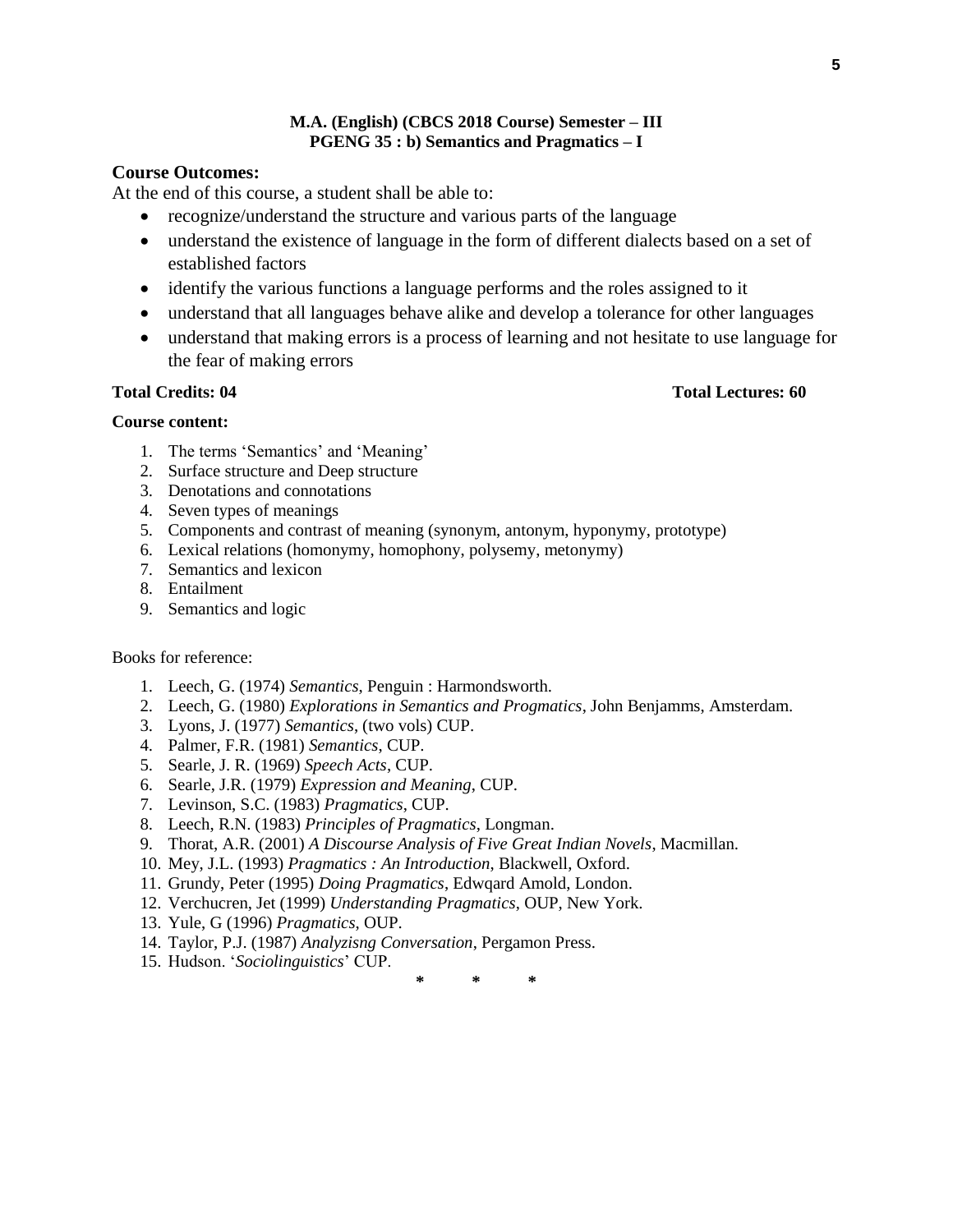### **M.A. (English) (CBCS 2018 Course) Semester – III PGENG 35 : b) Semantics and Pragmatics – I**

## **Course Outcomes:**

At the end of this course, a student shall be able to:

- recognize/understand the structure and various parts of the language
- understand the existence of language in the form of different dialects based on a set of established factors
- identify the various functions a language performs and the roles assigned to it
- understand that all languages behave alike and develop a tolerance for other languages
- understand that making errors is a process of learning and not hesitate to use language for the fear of making errors

## **Total Credits: 04 Total Lectures: 60**

### **Course content:**

- 1. The terms 'Semantics' and 'Meaning'
- 2. Surface structure and Deep structure
- 3. Denotations and connotations
- 4. Seven types of meanings
- 5. Components and contrast of meaning (synonym, antonym, hyponymy, prototype)
- 6. Lexical relations (homonymy, homophony, polysemy, metonymy)
- 7. Semantics and lexicon
- 8. Entailment
- 9. Semantics and logic

### Books for reference:

- 1. Leech, G. (1974) *Semantics*, Penguin : Harmondsworth.
- 2. Leech, G. (1980) *Explorations in Semantics and Progmatics*, John Benjamms, Amsterdam.
- 3. Lyons, J. (1977) *Semantics*, (two vols) CUP.
- 4. Palmer, F.R. (1981) *Semantics*, CUP.
- 5. Searle, J. R. (1969) *Speech Acts*, CUP.
- 6. Searle, J.R. (1979) *Expression and Meaning*, CUP.
- 7. Levinson, S.C. (1983) *Pragmatics*, CUP.
- 8. Leech, R.N. (1983) *Principles of Pragmatics*, Longman.
- 9. Thorat, A.R. (2001) *A Discourse Analysis of Five Great Indian Novels*, Macmillan.
- 10. Mey, J.L. (1993) *Pragmatics : An Introduction*, Blackwell, Oxford.
- 11. Grundy, Peter (1995) *Doing Pragmatics*, Edwqard Amold, London.
- 12. Verchucren, Jet (1999) *Understanding Pragmatics*, OUP, New York.
- 13. Yule, G (1996) *Pragmatics*, OUP.
- 14. Taylor, P.J. (1987) *Analyzisng Conversation*, Pergamon Press.
- 15. Hudson. '*Sociolinguistics*' CUP.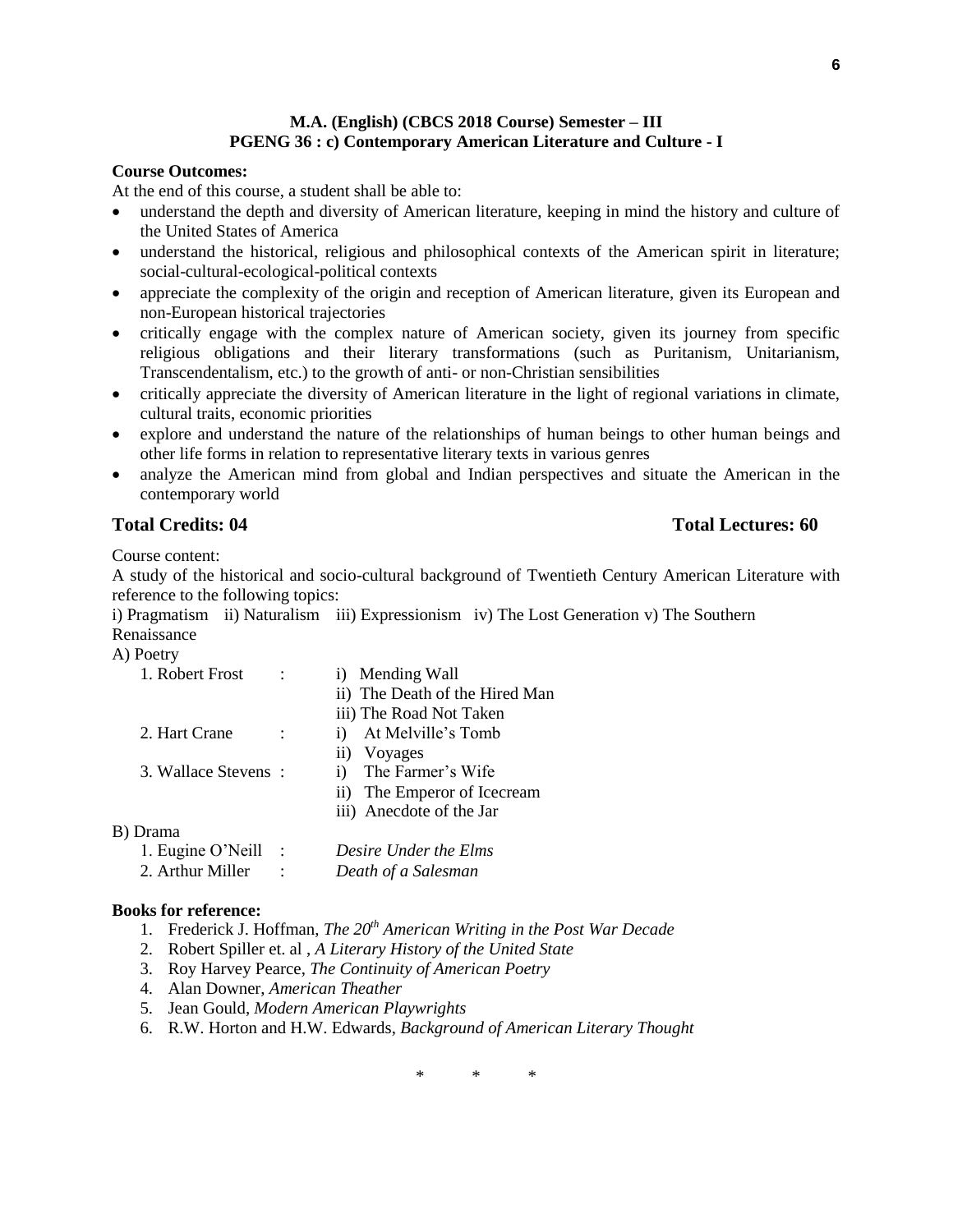## **M.A. (English) (CBCS 2018 Course) Semester – III PGENG 36 : c) Contemporary American Literature and Culture - I**

### **Course Outcomes:**

At the end of this course, a student shall be able to:

- understand the depth and diversity of American literature, keeping in mind the history and culture of the United States of America
- understand the historical, religious and philosophical contexts of the American spirit in literature; social-cultural-ecological-political contexts
- appreciate the complexity of the origin and reception of American literature, given its European and non-European historical trajectories
- critically engage with the complex nature of American society, given its journey from specific religious obligations and their literary transformations (such as Puritanism, Unitarianism, Transcendentalism, etc.) to the growth of anti- or non-Christian sensibilities
- critically appreciate the diversity of American literature in the light of regional variations in climate, cultural traits, economic priorities
- explore and understand the nature of the relationships of human beings to other human beings and other life forms in relation to representative literary texts in various genres
- analyze the American mind from global and Indian perspectives and situate the American in the contemporary world

## **Total Credits: 04 Total Lectures: 60**

Course content:

A study of the historical and socio-cultural background of Twentieth Century American Literature with reference to the following topics:

i) Pragmatism ii) Naturalism iii) Expressionism iv) The Lost Generation v) The Southern Renaissance

A) Poetry

| i) Mending Wall                    |  |  |
|------------------------------------|--|--|
| ii) The Death of the Hired Man     |  |  |
| iii) The Road Not Taken            |  |  |
| At Melville's Tomb<br>$\mathbf{i}$ |  |  |
| Voyages<br>$\overline{11}$         |  |  |
| The Farmer's Wife<br>i)            |  |  |
| ii) The Emperor of Icecream        |  |  |
| iii) Anecdote of the Jar           |  |  |
|                                    |  |  |
| Desire Under the Elms              |  |  |
| Death of a Salesman                |  |  |
| 3. Wallace Stevens:                |  |  |

#### **Books for reference:**

- 1. Frederick J. Hoffman, *The 20th American Writing in the Post War Decade*
- 2. Robert Spiller et. al , *A Literary History of the United State*
- 3. Roy Harvey Pearce, *The Continuity of American Poetry*
- 4. Alan Downer, *American Theather*
- 5. Jean Gould, *Modern American Playwrights*
- 6. R.W. Horton and H.W. Edwards, *Background of American Literary Thought*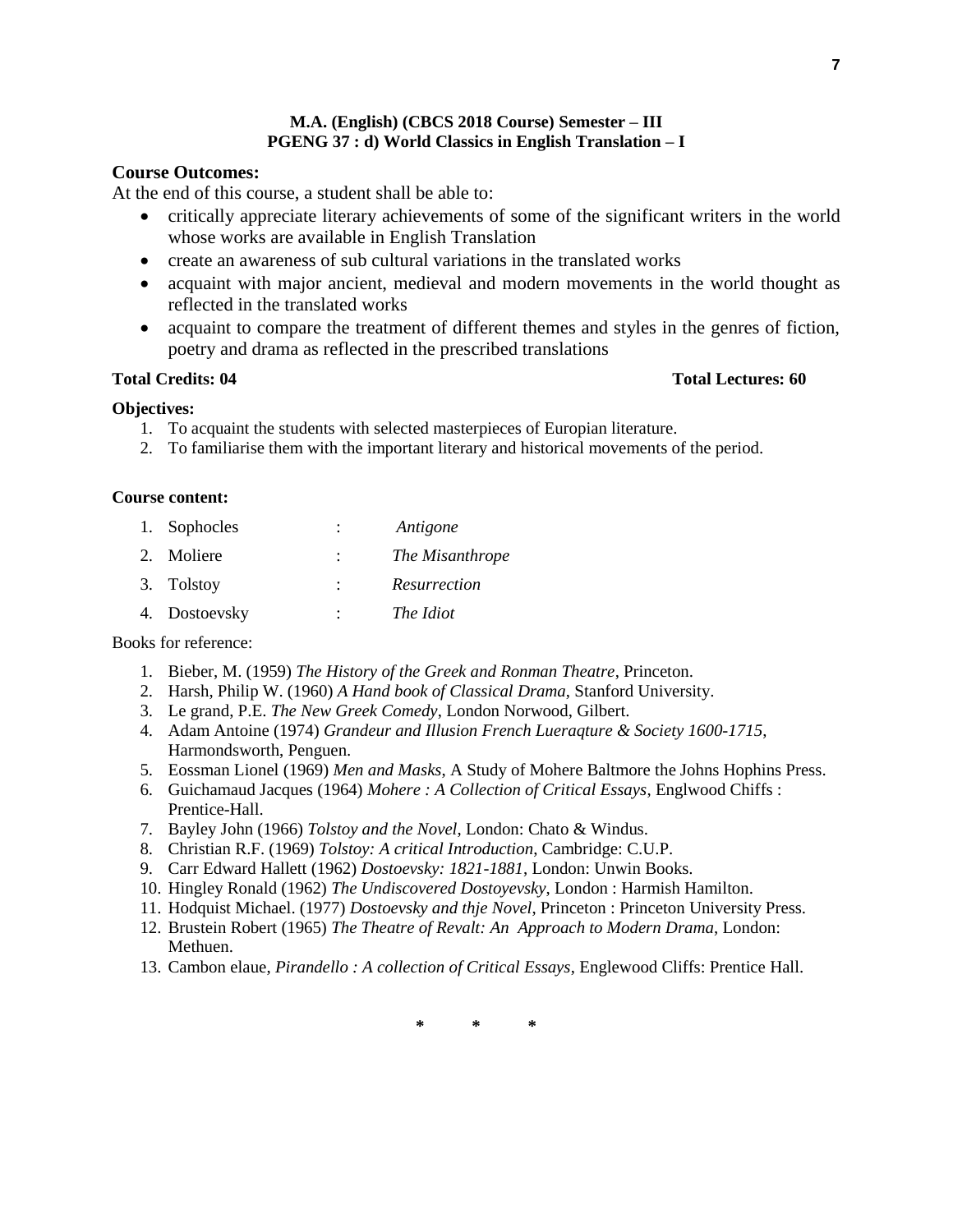## **M.A. (English) (CBCS 2018 Course) Semester – III PGENG 37 : d) World Classics in English Translation – I**

## **Course Outcomes:**

At the end of this course, a student shall be able to:

- critically appreciate literary achievements of some of the significant writers in the world whose works are available in English Translation
- create an awareness of sub cultural variations in the translated works
- acquaint with major ancient, medieval and modern movements in the world thought as reflected in the translated works
- acquaint to compare the treatment of different themes and styles in the genres of fiction, poetry and drama as reflected in the prescribed translations

## **Total Credits: 04 Total Lectures: 60**

## **Objectives:**

- 1. To acquaint the students with selected masterpieces of Europian literature.
- 2. To familiarise them with the important literary and historical movements of the period.

## **Course content:**

| 1. Sophocles | Antigone |
|--------------|----------|
|              |          |

| 2. Moliere | The Misanthrope |
|------------|-----------------|
| 3. Tolstoy | Resurrection    |

4. Dostoevsky : *The Idiot*

Books for reference:

- 1. Bieber, M. (1959) *The History of the Greek and Ronman Theatre*, Princeton.
- 2. Harsh, Philip W. (1960) *A Hand book of Classical Drama*, Stanford University.
- 3. Le grand, P.E. *The New Greek Comedy*, London Norwood, Gilbert.
- 4. Adam Antoine (1974) *Grandeur and Illusion French Lueraqture & Society 1600-1715*, Harmondsworth, Penguen.
- 5. Eossman Lionel (1969) *Men and Masks*, A Study of Mohere Baltmore the Johns Hophins Press.
- 6. Guichamaud Jacques (1964) *Mohere : A Collection of Critical Essays*, Englwood Chiffs : Prentice-Hall.
- 7. Bayley John (1966) *Tolstoy and the Novel*, London: Chato & Windus.
- 8. Christian R.F. (1969) *Tolstoy: A critical Introduction*, Cambridge: C.U.P.
- 9. Carr Edward Hallett (1962) *Dostoevsky: 1821-1881*, London: Unwin Books.
- 10. Hingley Ronald (1962) *The Undiscovered Dostoyevsky*, London : Harmish Hamilton.
- 11. Hodquist Michael. (1977) *Dostoevsky and thje Novel*, Princeton : Princeton University Press.
- 12. Brustein Robert (1965) *The Theatre of Revalt: An Approach to Modern Drama*, London: Methuen.
- 13. Cambon elaue, *Pirandello : A collection of Critical Essays*, Englewood Cliffs: Prentice Hall.